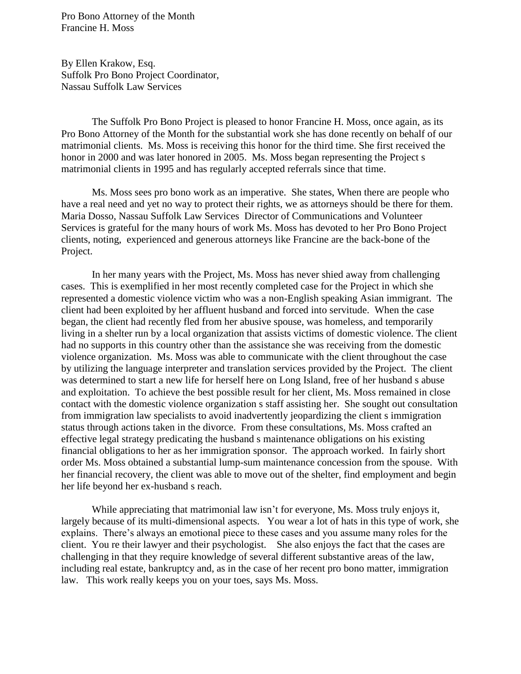Pro Bono Attorney of the Month Francine H. Moss

By Ellen Krakow, Esq. Suffolk Pro Bono Project Coordinator, Nassau Suffolk Law Services

The Suffolk Pro Bono Project is pleased to honor Francine H. Moss, once again, as its Pro Bono Attorney of the Month for the substantial work she has done recently on behalf of our matrimonial clients. Ms. Moss is receiving this honor for the third time. She first received the honor in 2000 and was later honored in 2005. Ms. Moss began representing the Project s matrimonial clients in 1995 and has regularly accepted referrals since that time.

Ms. Moss sees pro bono work as an imperative. She states, When there are people who have a real need and yet no way to protect their rights, we as attorneys should be there for them. Maria Dosso, Nassau Suffolk Law Services Director of Communications and Volunteer Services is grateful for the many hours of work Ms. Moss has devoted to her Pro Bono Project clients, noting, experienced and generous attorneys like Francine are the back-bone of the Project.

In her many years with the Project, Ms. Moss has never shied away from challenging cases. This is exemplified in her most recently completed case for the Project in which she represented a domestic violence victim who was a non-English speaking Asian immigrant. The client had been exploited by her affluent husband and forced into servitude. When the case began, the client had recently fled from her abusive spouse, was homeless, and temporarily living in a shelter run by a local organization that assists victims of domestic violence. The client had no supports in this country other than the assistance she was receiving from the domestic violence organization. Ms. Moss was able to communicate with the client throughout the case by utilizing the language interpreter and translation services provided by the Project. The client was determined to start a new life for herself here on Long Island, free of her husband s abuse and exploitation. To achieve the best possible result for her client, Ms. Moss remained in close contact with the domestic violence organization s staff assisting her. She sought out consultation from immigration law specialists to avoid inadvertently jeopardizing the client s immigration status through actions taken in the divorce. From these consultations, Ms. Moss crafted an effective legal strategy predicating the husband s maintenance obligations on his existing financial obligations to her as her immigration sponsor. The approach worked. In fairly short order Ms. Moss obtained a substantial lump-sum maintenance concession from the spouse. With her financial recovery, the client was able to move out of the shelter, find employment and begin her life beyond her ex-husband s reach.

While appreciating that matrimonial law isn't for everyone, Ms. Moss truly enjoys it, largely because of its multi-dimensional aspects. You wear a lot of hats in this type of work, she explains. There's always an emotional piece to these cases and you assume many roles for the client. You re their lawyer and their psychologist. She also enjoys the fact that the cases are challenging in that they require knowledge of several different substantive areas of the law, including real estate, bankruptcy and, as in the case of her recent pro bono matter, immigration law. This work really keeps you on your toes, says Ms. Moss.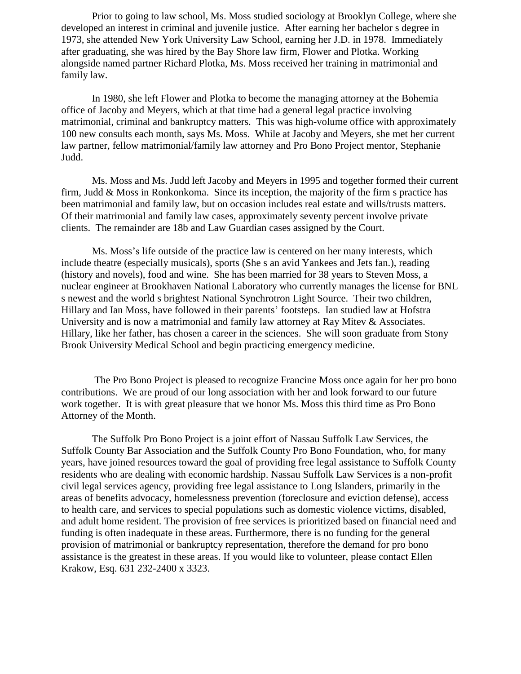Prior to going to law school, Ms. Moss studied sociology at Brooklyn College, where she developed an interest in criminal and juvenile justice. After earning her bachelor s degree in 1973, she attended New York University Law School, earning her J.D. in 1978. Immediately after graduating, she was hired by the Bay Shore law firm, Flower and Plotka. Working alongside named partner Richard Plotka, Ms. Moss received her training in matrimonial and family law.

In 1980, she left Flower and Plotka to become the managing attorney at the Bohemia office of Jacoby and Meyers, which at that time had a general legal practice involving matrimonial, criminal and bankruptcy matters. This was high-volume office with approximately 100 new consults each month, says Ms. Moss. While at Jacoby and Meyers, she met her current law partner, fellow matrimonial/family law attorney and Pro Bono Project mentor, Stephanie Judd.

Ms. Moss and Ms. Judd left Jacoby and Meyers in 1995 and together formed their current firm, Judd & Moss in Ronkonkoma. Since its inception, the majority of the firm s practice has been matrimonial and family law, but on occasion includes real estate and wills/trusts matters. Of their matrimonial and family law cases, approximately seventy percent involve private clients. The remainder are 18b and Law Guardian cases assigned by the Court.

Ms. Moss's life outside of the practice law is centered on her many interests, which include theatre (especially musicals), sports (She s an avid Yankees and Jets fan.), reading (history and novels), food and wine. She has been married for 38 years to Steven Moss, a nuclear engineer at Brookhaven National Laboratory who currently manages the license for BNL s newest and the world s brightest National Synchrotron Light Source. Their two children, Hillary and Ian Moss, have followed in their parents' footsteps. Ian studied law at Hofstra University and is now a matrimonial and family law attorney at Ray Mitev & Associates. Hillary, like her father, has chosen a career in the sciences. She will soon graduate from Stony Brook University Medical School and begin practicing emergency medicine.

The Pro Bono Project is pleased to recognize Francine Moss once again for her pro bono contributions. We are proud of our long association with her and look forward to our future work together. It is with great pleasure that we honor Ms. Moss this third time as Pro Bono Attorney of the Month.

The Suffolk Pro Bono Project is a joint effort of Nassau Suffolk Law Services, the Suffolk County Bar Association and the Suffolk County Pro Bono Foundation, who, for many years, have joined resources toward the goal of providing free legal assistance to Suffolk County residents who are dealing with economic hardship. Nassau Suffolk Law Services is a non-profit civil legal services agency, providing free legal assistance to Long Islanders, primarily in the areas of benefits advocacy, homelessness prevention (foreclosure and eviction defense), access to health care, and services to special populations such as domestic violence victims, disabled, and adult home resident. The provision of free services is prioritized based on financial need and funding is often inadequate in these areas. Furthermore, there is no funding for the general provision of matrimonial or bankruptcy representation, therefore the demand for pro bono assistance is the greatest in these areas. If you would like to volunteer, please contact Ellen Krakow, Esq. 631 232-2400 x 3323.